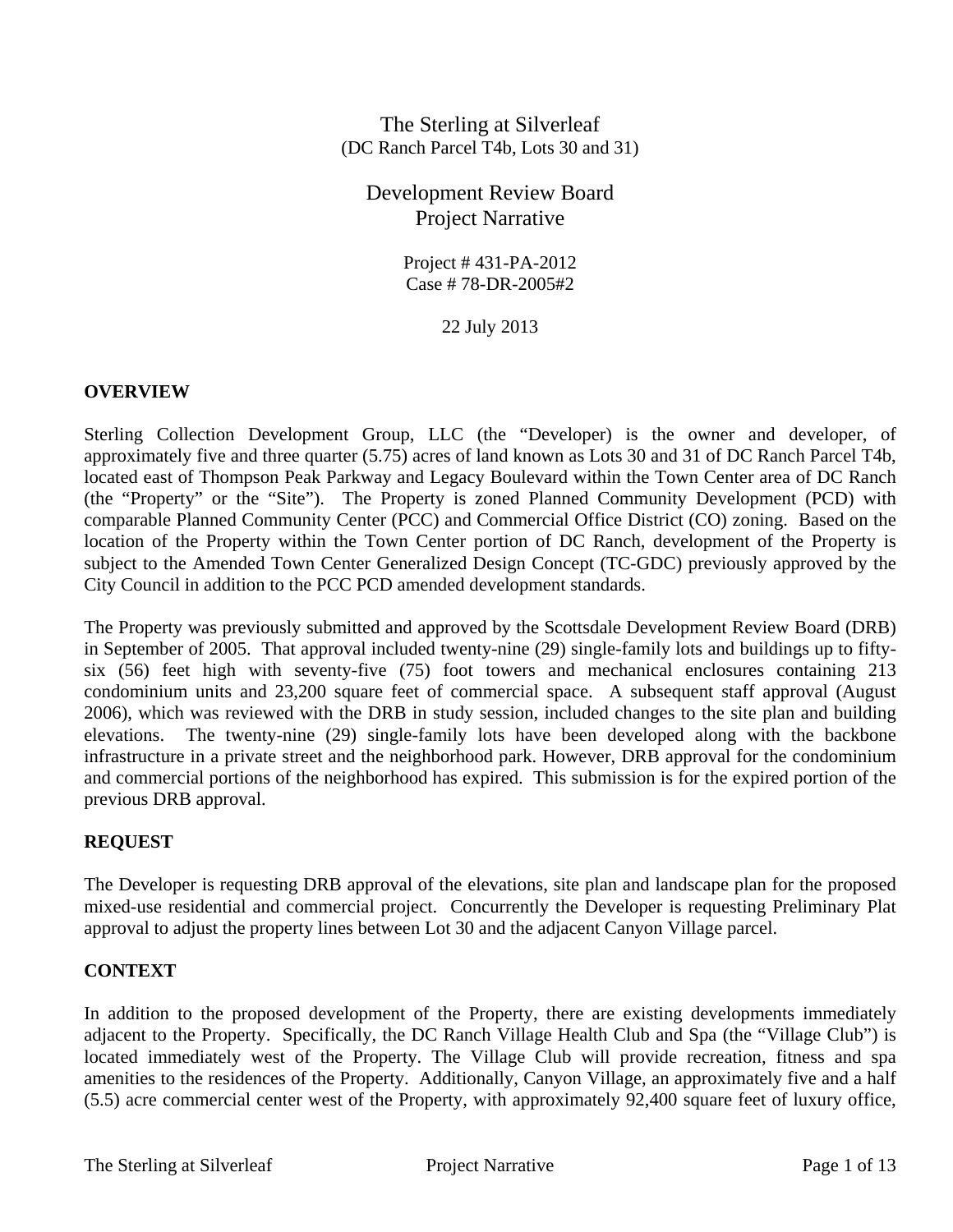# The Sterling at Silverleaf (DC Ranch Parcel T4b, Lots 30 and 31)

# Development Review Board Project Narrative

Project # 431-PA-2012 Case # 78-DR-2005#2

22 July 2013

# **OVERVIEW**

Sterling Collection Development Group, LLC (the "Developer) is the owner and developer, of approximately five and three quarter (5.75) acres of land known as Lots 30 and 31 of DC Ranch Parcel T4b, located east of Thompson Peak Parkway and Legacy Boulevard within the Town Center area of DC Ranch (the "Property" or the "Site"). The Property is zoned Planned Community Development (PCD) with comparable Planned Community Center (PCC) and Commercial Office District (CO) zoning. Based on the location of the Property within the Town Center portion of DC Ranch, development of the Property is subject to the Amended Town Center Generalized Design Concept (TC-GDC) previously approved by the City Council in addition to the PCC PCD amended development standards.

The Property was previously submitted and approved by the Scottsdale Development Review Board (DRB) in September of 2005. That approval included twenty-nine (29) single-family lots and buildings up to fiftysix (56) feet high with seventy-five (75) foot towers and mechanical enclosures containing 213 condominium units and 23,200 square feet of commercial space. A subsequent staff approval (August 2006), which was reviewed with the DRB in study session, included changes to the site plan and building elevations. The twenty-nine (29) single-family lots have been developed along with the backbone infrastructure in a private street and the neighborhood park. However, DRB approval for the condominium and commercial portions of the neighborhood has expired. This submission is for the expired portion of the previous DRB approval.

# **REQUEST**

The Developer is requesting DRB approval of the elevations, site plan and landscape plan for the proposed mixed-use residential and commercial project. Concurrently the Developer is requesting Preliminary Plat approval to adjust the property lines between Lot 30 and the adjacent Canyon Village parcel.

# **CONTEXT**

In addition to the proposed development of the Property, there are existing developments immediately adjacent to the Property. Specifically, the DC Ranch Village Health Club and Spa (the "Village Club") is located immediately west of the Property. The Village Club will provide recreation, fitness and spa amenities to the residences of the Property. Additionally, Canyon Village, an approximately five and a half (5.5) acre commercial center west of the Property, with approximately 92,400 square feet of luxury office,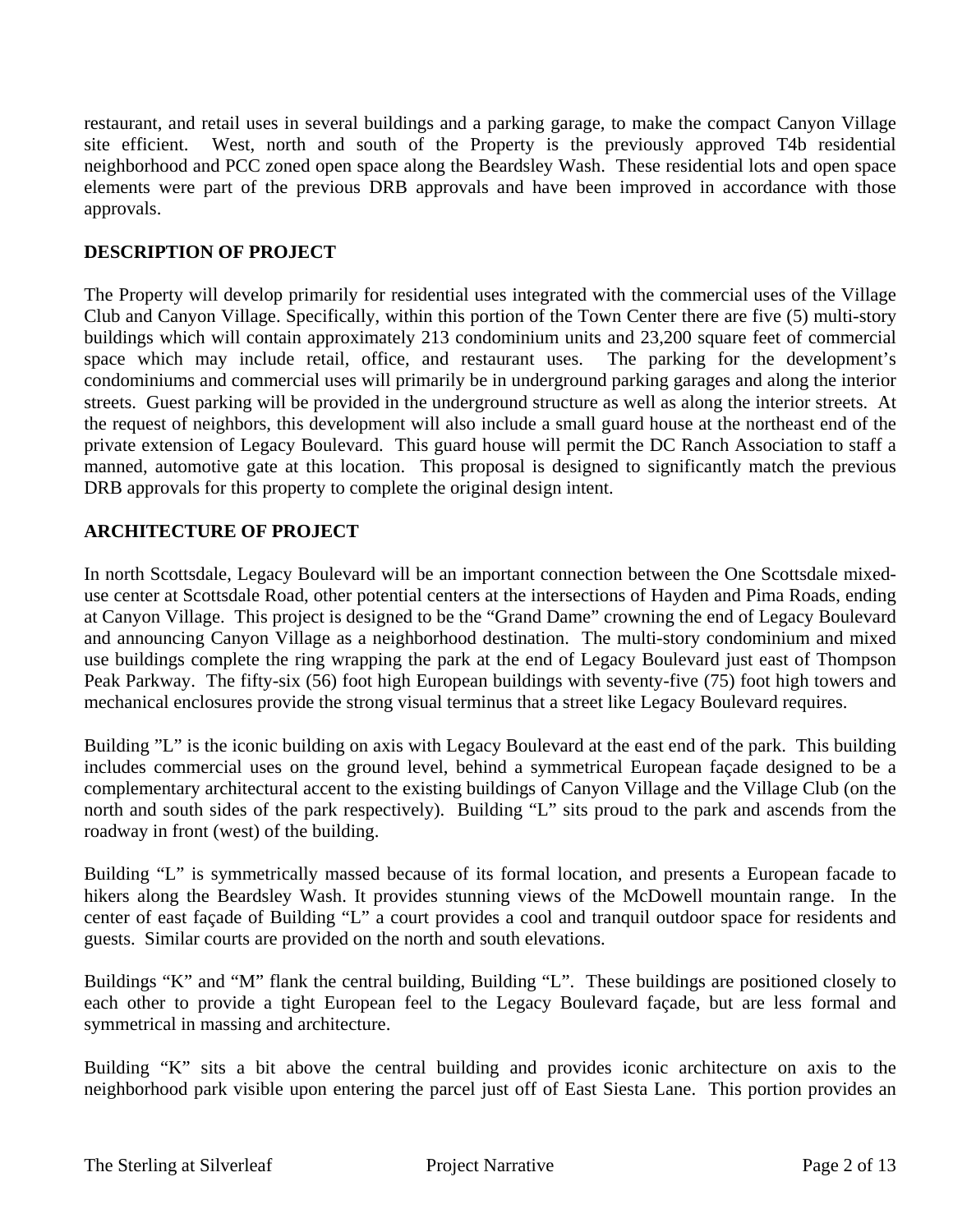restaurant, and retail uses in several buildings and a parking garage, to make the compact Canyon Village site efficient. West, north and south of the Property is the previously approved T4b residential neighborhood and PCC zoned open space along the Beardsley Wash. These residential lots and open space elements were part of the previous DRB approvals and have been improved in accordance with those approvals.

# **DESCRIPTION OF PROJECT**

The Property will develop primarily for residential uses integrated with the commercial uses of the Village Club and Canyon Village. Specifically, within this portion of the Town Center there are five (5) multi-story buildings which will contain approximately 213 condominium units and 23,200 square feet of commercial space which may include retail, office, and restaurant uses. The parking for the development's condominiums and commercial uses will primarily be in underground parking garages and along the interior streets. Guest parking will be provided in the underground structure as well as along the interior streets. At the request of neighbors, this development will also include a small guard house at the northeast end of the private extension of Legacy Boulevard. This guard house will permit the DC Ranch Association to staff a manned, automotive gate at this location. This proposal is designed to significantly match the previous DRB approvals for this property to complete the original design intent.

# **ARCHITECTURE OF PROJECT**

In north Scottsdale, Legacy Boulevard will be an important connection between the One Scottsdale mixeduse center at Scottsdale Road, other potential centers at the intersections of Hayden and Pima Roads, ending at Canyon Village. This project is designed to be the "Grand Dame" crowning the end of Legacy Boulevard and announcing Canyon Village as a neighborhood destination. The multi-story condominium and mixed use buildings complete the ring wrapping the park at the end of Legacy Boulevard just east of Thompson Peak Parkway. The fifty-six (56) foot high European buildings with seventy-five (75) foot high towers and mechanical enclosures provide the strong visual terminus that a street like Legacy Boulevard requires.

Building "L" is the iconic building on axis with Legacy Boulevard at the east end of the park. This building includes commercial uses on the ground level, behind a symmetrical European façade designed to be a complementary architectural accent to the existing buildings of Canyon Village and the Village Club (on the north and south sides of the park respectively). Building "L" sits proud to the park and ascends from the roadway in front (west) of the building.

Building "L" is symmetrically massed because of its formal location, and presents a European facade to hikers along the Beardsley Wash. It provides stunning views of the McDowell mountain range. In the center of east façade of Building "L" a court provides a cool and tranquil outdoor space for residents and guests. Similar courts are provided on the north and south elevations.

Buildings "K" and "M" flank the central building, Building "L". These buildings are positioned closely to each other to provide a tight European feel to the Legacy Boulevard façade, but are less formal and symmetrical in massing and architecture.

Building "K" sits a bit above the central building and provides iconic architecture on axis to the neighborhood park visible upon entering the parcel just off of East Siesta Lane. This portion provides an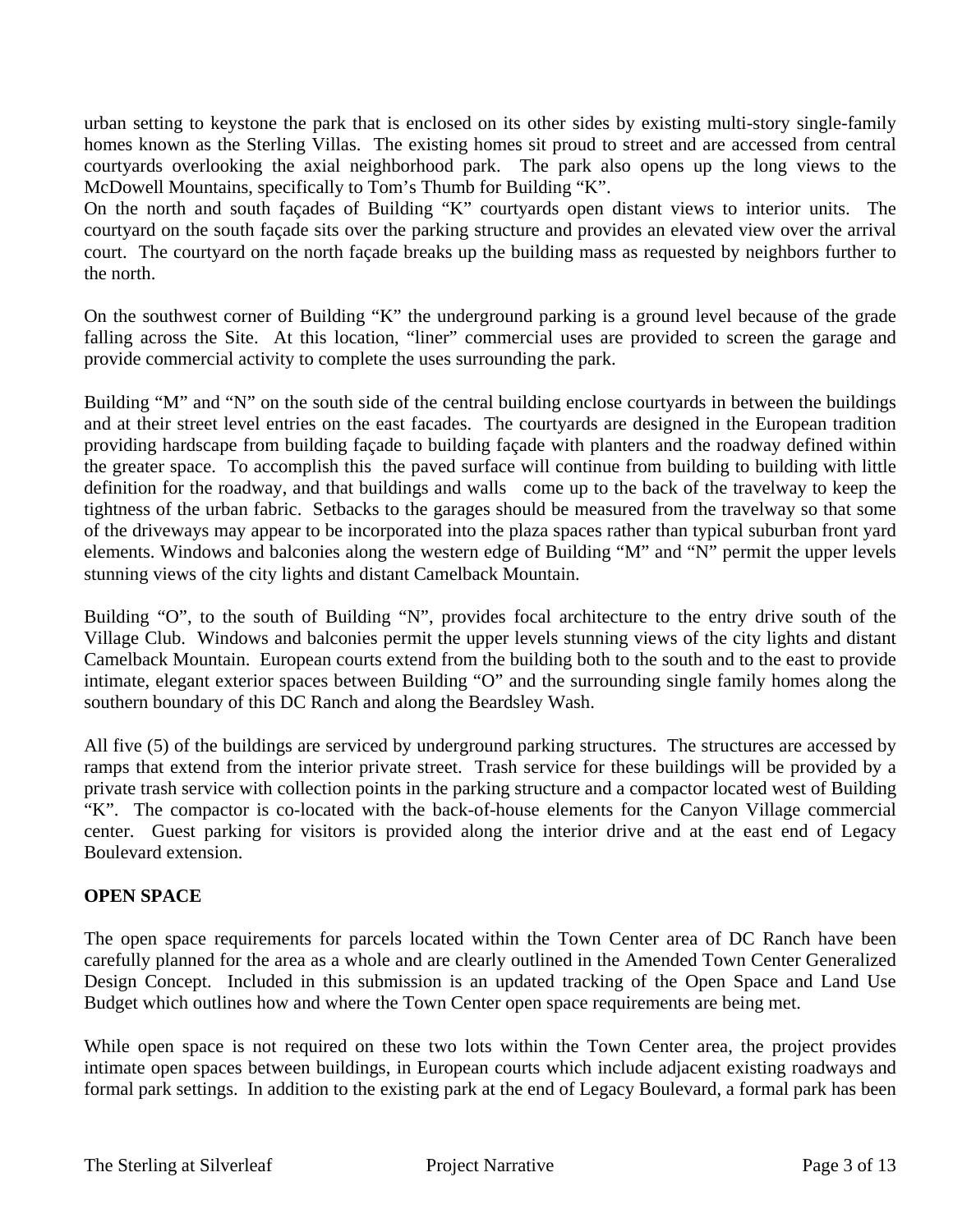urban setting to keystone the park that is enclosed on its other sides by existing multi-story single-family homes known as the Sterling Villas. The existing homes sit proud to street and are accessed from central courtyards overlooking the axial neighborhood park. The park also opens up the long views to the McDowell Mountains, specifically to Tom's Thumb for Building "K".

On the north and south façades of Building "K" courtyards open distant views to interior units. The courtyard on the south façade sits over the parking structure and provides an elevated view over the arrival court. The courtyard on the north façade breaks up the building mass as requested by neighbors further to the north.

On the southwest corner of Building "K" the underground parking is a ground level because of the grade falling across the Site. At this location, "liner" commercial uses are provided to screen the garage and provide commercial activity to complete the uses surrounding the park.

Building "M" and "N" on the south side of the central building enclose courtyards in between the buildings and at their street level entries on the east facades. The courtyards are designed in the European tradition providing hardscape from building façade to building façade with planters and the roadway defined within the greater space. To accomplish this the paved surface will continue from building to building with little definition for the roadway, and that buildings and walls come up to the back of the travelway to keep the tightness of the urban fabric. Setbacks to the garages should be measured from the travelway so that some of the driveways may appear to be incorporated into the plaza spaces rather than typical suburban front yard elements. Windows and balconies along the western edge of Building "M" and "N" permit the upper levels stunning views of the city lights and distant Camelback Mountain.

Building "O", to the south of Building "N", provides focal architecture to the entry drive south of the Village Club. Windows and balconies permit the upper levels stunning views of the city lights and distant Camelback Mountain. European courts extend from the building both to the south and to the east to provide intimate, elegant exterior spaces between Building "O" and the surrounding single family homes along the southern boundary of this DC Ranch and along the Beardsley Wash.

All five (5) of the buildings are serviced by underground parking structures. The structures are accessed by ramps that extend from the interior private street. Trash service for these buildings will be provided by a private trash service with collection points in the parking structure and a compactor located west of Building "K". The compactor is co-located with the back-of-house elements for the Canyon Village commercial center. Guest parking for visitors is provided along the interior drive and at the east end of Legacy Boulevard extension.

# **OPEN SPACE**

The open space requirements for parcels located within the Town Center area of DC Ranch have been carefully planned for the area as a whole and are clearly outlined in the Amended Town Center Generalized Design Concept. Included in this submission is an updated tracking of the Open Space and Land Use Budget which outlines how and where the Town Center open space requirements are being met.

While open space is not required on these two lots within the Town Center area, the project provides intimate open spaces between buildings, in European courts which include adjacent existing roadways and formal park settings. In addition to the existing park at the end of Legacy Boulevard, a formal park has been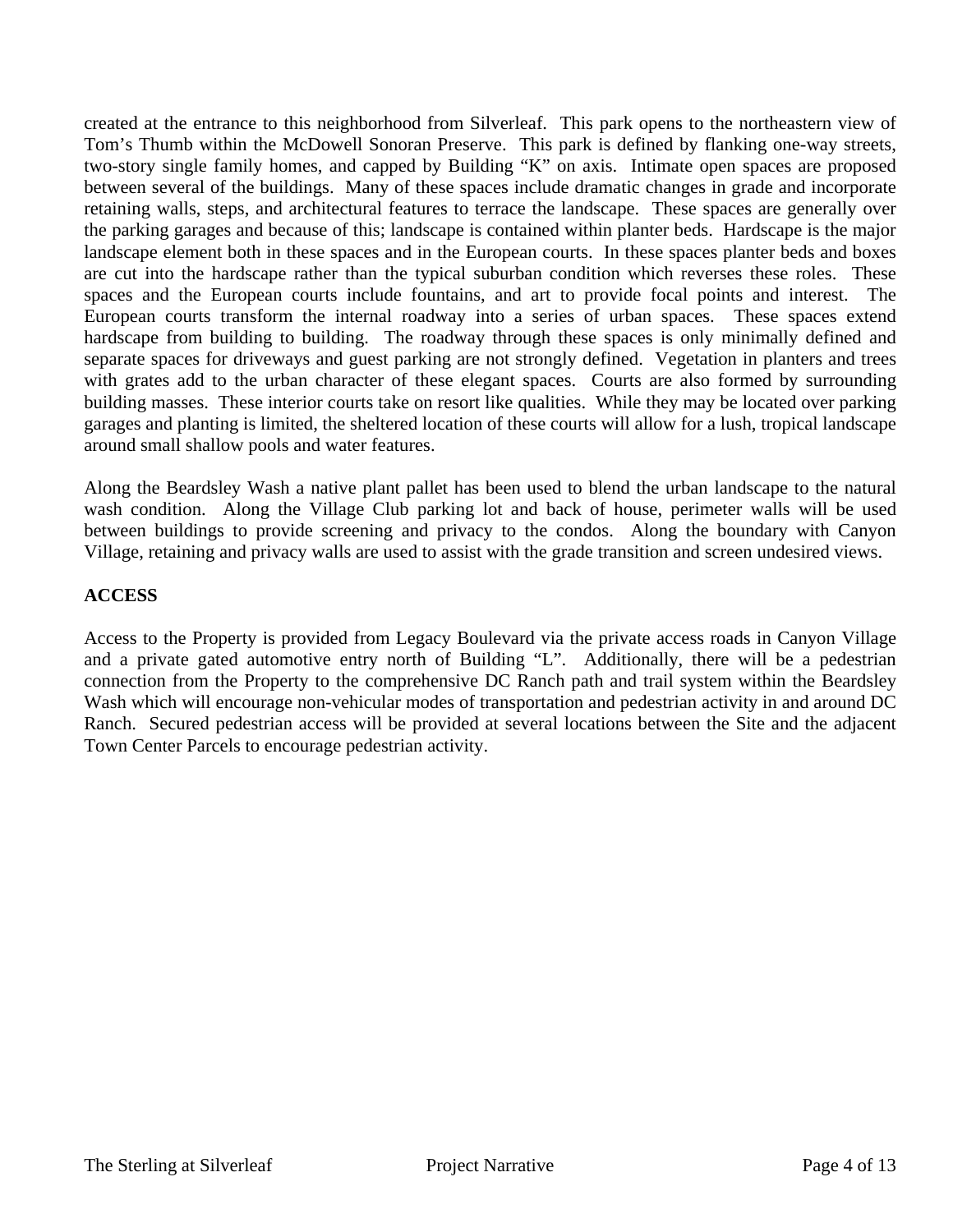created at the entrance to this neighborhood from Silverleaf. This park opens to the northeastern view of Tom's Thumb within the McDowell Sonoran Preserve. This park is defined by flanking one-way streets, two-story single family homes, and capped by Building "K" on axis. Intimate open spaces are proposed between several of the buildings. Many of these spaces include dramatic changes in grade and incorporate retaining walls, steps, and architectural features to terrace the landscape. These spaces are generally over the parking garages and because of this; landscape is contained within planter beds. Hardscape is the major landscape element both in these spaces and in the European courts. In these spaces planter beds and boxes are cut into the hardscape rather than the typical suburban condition which reverses these roles. These spaces and the European courts include fountains, and art to provide focal points and interest. The European courts transform the internal roadway into a series of urban spaces. These spaces extend hardscape from building to building. The roadway through these spaces is only minimally defined and separate spaces for driveways and guest parking are not strongly defined. Vegetation in planters and trees with grates add to the urban character of these elegant spaces. Courts are also formed by surrounding building masses. These interior courts take on resort like qualities. While they may be located over parking garages and planting is limited, the sheltered location of these courts will allow for a lush, tropical landscape around small shallow pools and water features.

Along the Beardsley Wash a native plant pallet has been used to blend the urban landscape to the natural wash condition. Along the Village Club parking lot and back of house, perimeter walls will be used between buildings to provide screening and privacy to the condos. Along the boundary with Canyon Village, retaining and privacy walls are used to assist with the grade transition and screen undesired views.

#### **ACCESS**

Access to the Property is provided from Legacy Boulevard via the private access roads in Canyon Village and a private gated automotive entry north of Building "L". Additionally, there will be a pedestrian connection from the Property to the comprehensive DC Ranch path and trail system within the Beardsley Wash which will encourage non-vehicular modes of transportation and pedestrian activity in and around DC Ranch. Secured pedestrian access will be provided at several locations between the Site and the adjacent Town Center Parcels to encourage pedestrian activity.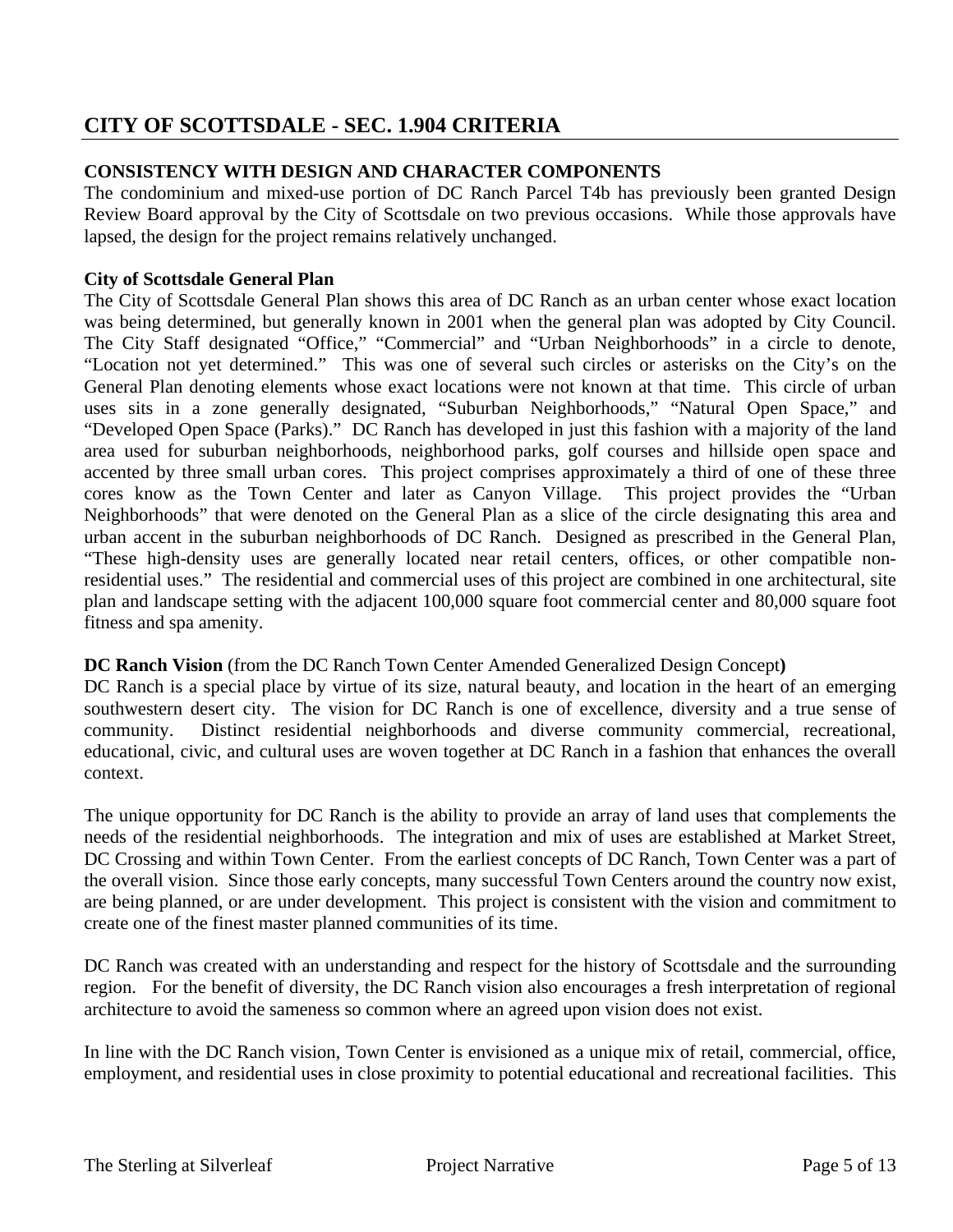# **CITY OF SCOTTSDALE - SEC. 1.904 CRITERIA**

# **CONSISTENCY WITH DESIGN AND CHARACTER COMPONENTS**

The condominium and mixed-use portion of DC Ranch Parcel T4b has previously been granted Design Review Board approval by the City of Scottsdale on two previous occasions. While those approvals have lapsed, the design for the project remains relatively unchanged.

## **City of Scottsdale General Plan**

The City of Scottsdale General Plan shows this area of DC Ranch as an urban center whose exact location was being determined, but generally known in 2001 when the general plan was adopted by City Council. The City Staff designated "Office," "Commercial" and "Urban Neighborhoods" in a circle to denote, "Location not yet determined." This was one of several such circles or asterisks on the City's on the General Plan denoting elements whose exact locations were not known at that time. This circle of urban uses sits in a zone generally designated, "Suburban Neighborhoods," "Natural Open Space," and "Developed Open Space (Parks)." DC Ranch has developed in just this fashion with a majority of the land area used for suburban neighborhoods, neighborhood parks, golf courses and hillside open space and accented by three small urban cores. This project comprises approximately a third of one of these three cores know as the Town Center and later as Canyon Village. This project provides the "Urban cores know as the Town Center and later as Canyon Village. Neighborhoods" that were denoted on the General Plan as a slice of the circle designating this area and urban accent in the suburban neighborhoods of DC Ranch. Designed as prescribed in the General Plan, "These high-density uses are generally located near retail centers, offices, or other compatible nonresidential uses." The residential and commercial uses of this project are combined in one architectural, site plan and landscape setting with the adjacent 100,000 square foot commercial center and 80,000 square foot fitness and spa amenity.

#### **DC Ranch Vision** (from the DC Ranch Town Center Amended Generalized Design Concept**)**

DC Ranch is a special place by virtue of its size, natural beauty, and location in the heart of an emerging southwestern desert city. The vision for DC Ranch is one of excellence, diversity and a true sense of community. Distinct residential neighborhoods and diverse community commercial, recreational, educational, civic, and cultural uses are woven together at DC Ranch in a fashion that enhances the overall context.

The unique opportunity for DC Ranch is the ability to provide an array of land uses that complements the needs of the residential neighborhoods. The integration and mix of uses are established at Market Street, DC Crossing and within Town Center. From the earliest concepts of DC Ranch, Town Center was a part of the overall vision. Since those early concepts, many successful Town Centers around the country now exist, are being planned, or are under development. This project is consistent with the vision and commitment to create one of the finest master planned communities of its time.

DC Ranch was created with an understanding and respect for the history of Scottsdale and the surrounding region. For the benefit of diversity, the DC Ranch vision also encourages a fresh interpretation of regional architecture to avoid the sameness so common where an agreed upon vision does not exist.

In line with the DC Ranch vision, Town Center is envisioned as a unique mix of retail, commercial, office, employment, and residential uses in close proximity to potential educational and recreational facilities. This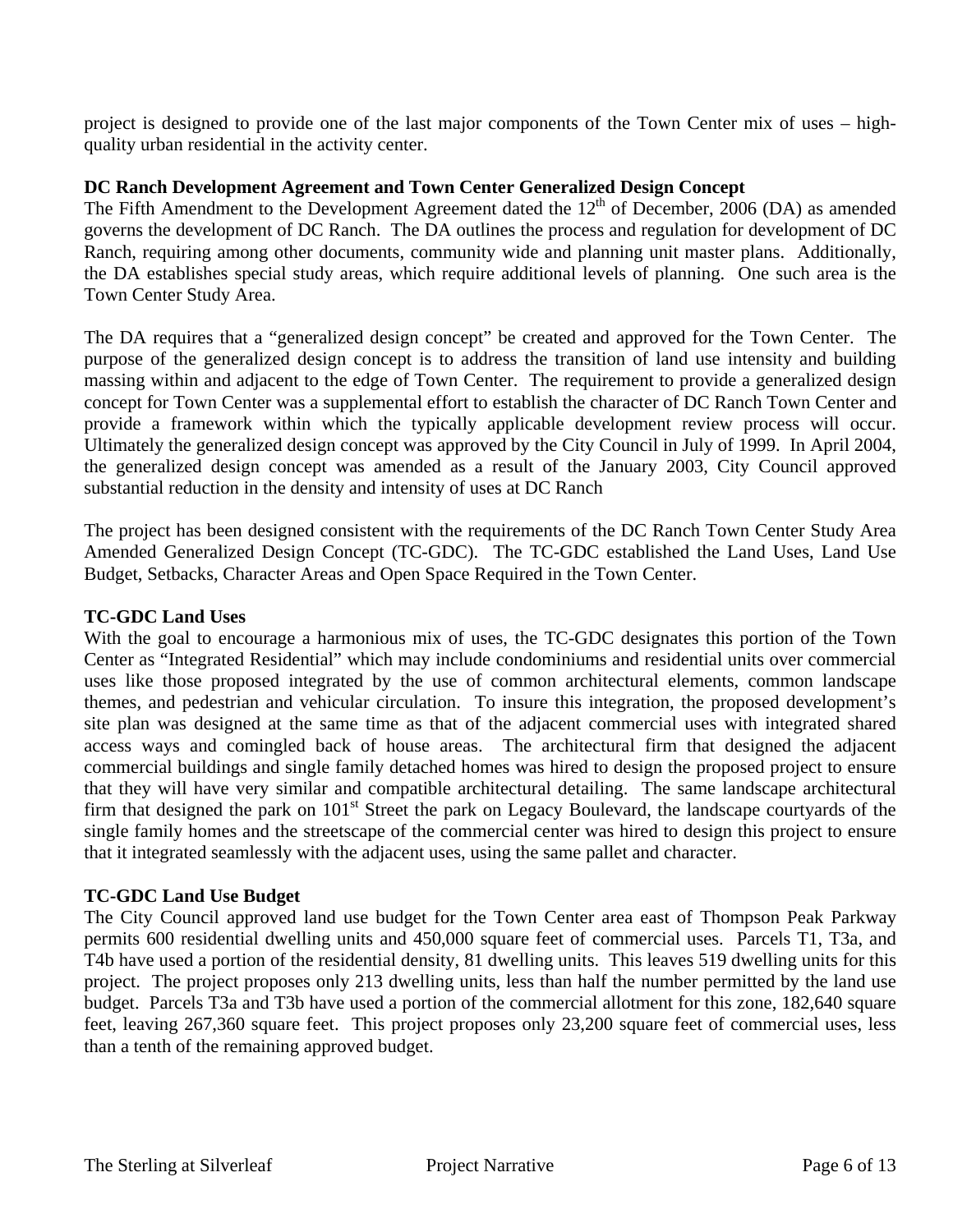project is designed to provide one of the last major components of the Town Center mix of uses – highquality urban residential in the activity center.

### **DC Ranch Development Agreement and Town Center Generalized Design Concept**

The Fifth Amendment to the Development Agreement dated the  $12<sup>th</sup>$  of December, 2006 (DA) as amended governs the development of DC Ranch. The DA outlines the process and regulation for development of DC Ranch, requiring among other documents, community wide and planning unit master plans. Additionally, the DA establishes special study areas, which require additional levels of planning. One such area is the Town Center Study Area.

The DA requires that a "generalized design concept" be created and approved for the Town Center. The purpose of the generalized design concept is to address the transition of land use intensity and building massing within and adjacent to the edge of Town Center. The requirement to provide a generalized design concept for Town Center was a supplemental effort to establish the character of DC Ranch Town Center and provide a framework within which the typically applicable development review process will occur. Ultimately the generalized design concept was approved by the City Council in July of 1999. In April 2004, the generalized design concept was amended as a result of the January 2003, City Council approved substantial reduction in the density and intensity of uses at DC Ranch

The project has been designed consistent with the requirements of the DC Ranch Town Center Study Area Amended Generalized Design Concept (TC-GDC). The TC-GDC established the Land Uses, Land Use Budget, Setbacks, Character Areas and Open Space Required in the Town Center.

#### **TC-GDC Land Uses**

With the goal to encourage a harmonious mix of uses, the TC-GDC designates this portion of the Town Center as "Integrated Residential" which may include condominiums and residential units over commercial uses like those proposed integrated by the use of common architectural elements, common landscape themes, and pedestrian and vehicular circulation. To insure this integration, the proposed development's site plan was designed at the same time as that of the adjacent commercial uses with integrated shared access ways and comingled back of house areas. The architectural firm that designed the adjacent commercial buildings and single family detached homes was hired to design the proposed project to ensure that they will have very similar and compatible architectural detailing. The same landscape architectural firm that designed the park on 101<sup>st</sup> Street the park on Legacy Boulevard, the landscape courtyards of the single family homes and the streetscape of the commercial center was hired to design this project to ensure that it integrated seamlessly with the adjacent uses, using the same pallet and character.

#### **TC-GDC Land Use Budget**

The City Council approved land use budget for the Town Center area east of Thompson Peak Parkway permits 600 residential dwelling units and 450,000 square feet of commercial uses. Parcels T1, T3a, and T4b have used a portion of the residential density, 81 dwelling units. This leaves 519 dwelling units for this project. The project proposes only 213 dwelling units, less than half the number permitted by the land use budget. Parcels T3a and T3b have used a portion of the commercial allotment for this zone, 182,640 square feet, leaving 267,360 square feet. This project proposes only 23,200 square feet of commercial uses, less than a tenth of the remaining approved budget.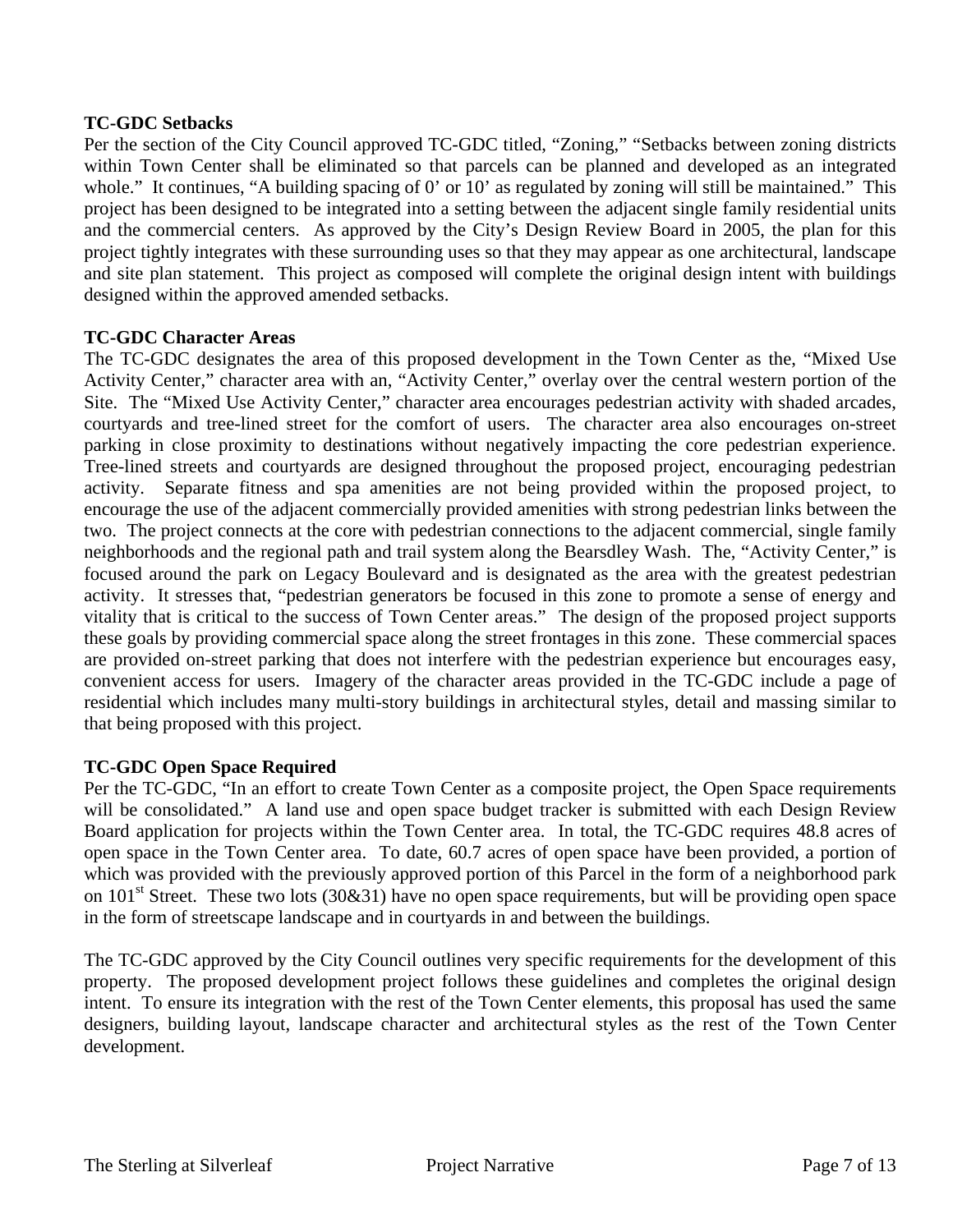#### **TC-GDC Setbacks**

Per the section of the City Council approved TC-GDC titled, "Zoning," "Setbacks between zoning districts within Town Center shall be eliminated so that parcels can be planned and developed as an integrated whole." It continues, "A building spacing of 0' or 10' as regulated by zoning will still be maintained." This project has been designed to be integrated into a setting between the adjacent single family residential units and the commercial centers. As approved by the City's Design Review Board in 2005, the plan for this project tightly integrates with these surrounding uses so that they may appear as one architectural, landscape and site plan statement. This project as composed will complete the original design intent with buildings designed within the approved amended setbacks.

#### **TC-GDC Character Areas**

The TC-GDC designates the area of this proposed development in the Town Center as the, "Mixed Use Activity Center," character area with an, "Activity Center," overlay over the central western portion of the Site. The "Mixed Use Activity Center," character area encourages pedestrian activity with shaded arcades, courtyards and tree-lined street for the comfort of users. The character area also encourages on-street parking in close proximity to destinations without negatively impacting the core pedestrian experience. Tree-lined streets and courtyards are designed throughout the proposed project, encouraging pedestrian activity. Separate fitness and spa amenities are not being provided within the proposed project, to encourage the use of the adjacent commercially provided amenities with strong pedestrian links between the two. The project connects at the core with pedestrian connections to the adjacent commercial, single family neighborhoods and the regional path and trail system along the Bearsdley Wash. The, "Activity Center," is focused around the park on Legacy Boulevard and is designated as the area with the greatest pedestrian activity. It stresses that, "pedestrian generators be focused in this zone to promote a sense of energy and vitality that is critical to the success of Town Center areas." The design of the proposed project supports these goals by providing commercial space along the street frontages in this zone. These commercial spaces are provided on-street parking that does not interfere with the pedestrian experience but encourages easy, convenient access for users. Imagery of the character areas provided in the TC-GDC include a page of residential which includes many multi-story buildings in architectural styles, detail and massing similar to that being proposed with this project.

#### **TC-GDC Open Space Required**

Per the TC-GDC, "In an effort to create Town Center as a composite project, the Open Space requirements will be consolidated." A land use and open space budget tracker is submitted with each Design Review Board application for projects within the Town Center area. In total, the TC-GDC requires 48.8 acres of open space in the Town Center area. To date, 60.7 acres of open space have been provided, a portion of which was provided with the previously approved portion of this Parcel in the form of a neighborhood park on 101<sup>st</sup> Street. These two lots (30&31) have no open space requirements, but will be providing open space in the form of streetscape landscape and in courtyards in and between the buildings.

The TC-GDC approved by the City Council outlines very specific requirements for the development of this property. The proposed development project follows these guidelines and completes the original design intent. To ensure its integration with the rest of the Town Center elements, this proposal has used the same designers, building layout, landscape character and architectural styles as the rest of the Town Center development.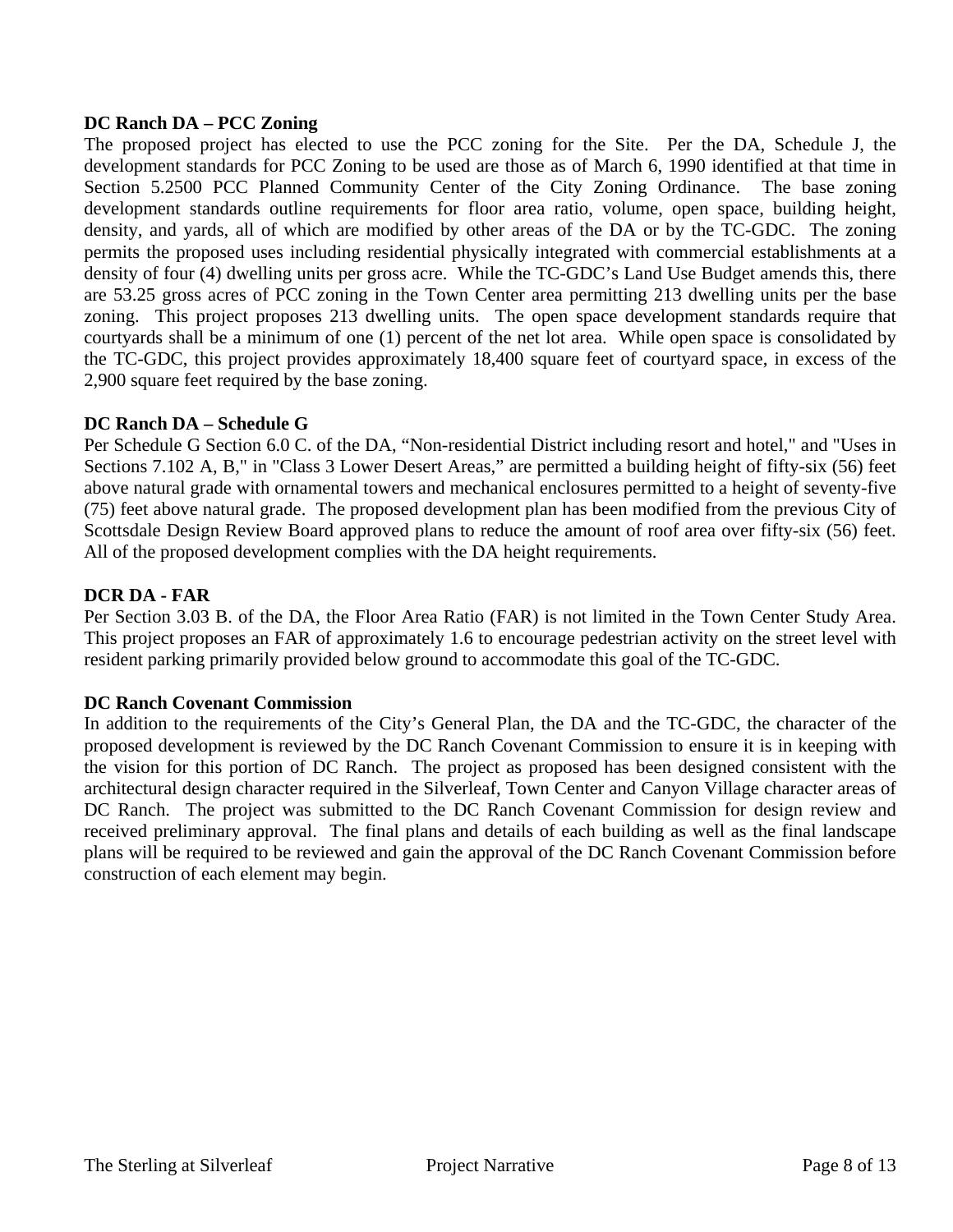### **DC Ranch DA – PCC Zoning**

The proposed project has elected to use the PCC zoning for the Site. Per the DA, Schedule J, the development standards for PCC Zoning to be used are those as of March 6, 1990 identified at that time in Section 5.2500 PCC Planned Community Center of the City Zoning Ordinance. The base zoning development standards outline requirements for floor area ratio, volume, open space, building height, density, and yards, all of which are modified by other areas of the DA or by the TC-GDC. The zoning permits the proposed uses including residential physically integrated with commercial establishments at a density of four (4) dwelling units per gross acre. While the TC-GDC's Land Use Budget amends this, there are 53.25 gross acres of PCC zoning in the Town Center area permitting 213 dwelling units per the base zoning. This project proposes 213 dwelling units. The open space development standards require that courtyards shall be a minimum of one (1) percent of the net lot area. While open space is consolidated by the TC-GDC, this project provides approximately 18,400 square feet of courtyard space, in excess of the 2,900 square feet required by the base zoning.

## **DC Ranch DA – Schedule G**

Per Schedule G Section 6.0 C. of the DA, "Non-residential District including resort and hotel," and "Uses in Sections 7.102 A, B," in "Class 3 Lower Desert Areas," are permitted a building height of fifty-six (56) feet above natural grade with ornamental towers and mechanical enclosures permitted to a height of seventy-five (75) feet above natural grade. The proposed development plan has been modified from the previous City of Scottsdale Design Review Board approved plans to reduce the amount of roof area over fifty-six (56) feet. All of the proposed development complies with the DA height requirements.

## **DCR DA - FAR**

Per Section 3.03 B. of the DA, the Floor Area Ratio (FAR) is not limited in the Town Center Study Area. This project proposes an FAR of approximately 1.6 to encourage pedestrian activity on the street level with resident parking primarily provided below ground to accommodate this goal of the TC-GDC.

#### **DC Ranch Covenant Commission**

In addition to the requirements of the City's General Plan, the DA and the TC-GDC, the character of the proposed development is reviewed by the DC Ranch Covenant Commission to ensure it is in keeping with the vision for this portion of DC Ranch. The project as proposed has been designed consistent with the architectural design character required in the Silverleaf, Town Center and Canyon Village character areas of DC Ranch. The project was submitted to the DC Ranch Covenant Commission for design review and received preliminary approval. The final plans and details of each building as well as the final landscape plans will be required to be reviewed and gain the approval of the DC Ranch Covenant Commission before construction of each element may begin.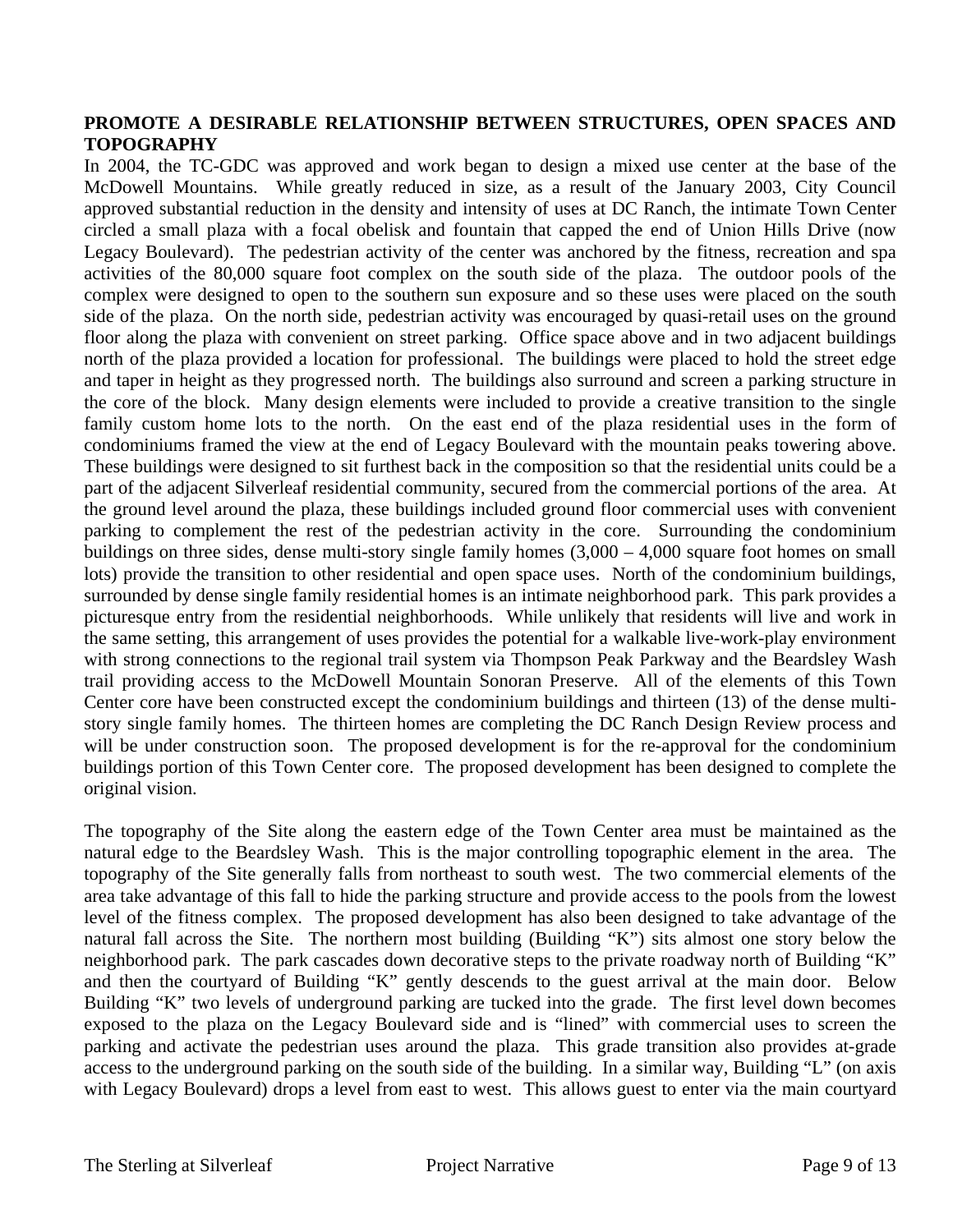### **PROMOTE A DESIRABLE RELATIONSHIP BETWEEN STRUCTURES, OPEN SPACES AND TOPOGRAPHY**

In 2004, the TC-GDC was approved and work began to design a mixed use center at the base of the McDowell Mountains. While greatly reduced in size, as a result of the January 2003, City Council approved substantial reduction in the density and intensity of uses at DC Ranch, the intimate Town Center circled a small plaza with a focal obelisk and fountain that capped the end of Union Hills Drive (now Legacy Boulevard). The pedestrian activity of the center was anchored by the fitness, recreation and spa activities of the 80,000 square foot complex on the south side of the plaza. The outdoor pools of the complex were designed to open to the southern sun exposure and so these uses were placed on the south side of the plaza. On the north side, pedestrian activity was encouraged by quasi-retail uses on the ground floor along the plaza with convenient on street parking. Office space above and in two adjacent buildings north of the plaza provided a location for professional. The buildings were placed to hold the street edge and taper in height as they progressed north. The buildings also surround and screen a parking structure in the core of the block. Many design elements were included to provide a creative transition to the single family custom home lots to the north. On the east end of the plaza residential uses in the form of condominiums framed the view at the end of Legacy Boulevard with the mountain peaks towering above. These buildings were designed to sit furthest back in the composition so that the residential units could be a part of the adjacent Silverleaf residential community, secured from the commercial portions of the area. At the ground level around the plaza, these buildings included ground floor commercial uses with convenient parking to complement the rest of the pedestrian activity in the core. Surrounding the condominium buildings on three sides, dense multi-story single family homes (3,000 – 4,000 square foot homes on small lots) provide the transition to other residential and open space uses. North of the condominium buildings, surrounded by dense single family residential homes is an intimate neighborhood park. This park provides a picturesque entry from the residential neighborhoods. While unlikely that residents will live and work in the same setting, this arrangement of uses provides the potential for a walkable live-work-play environment with strong connections to the regional trail system via Thompson Peak Parkway and the Beardsley Wash trail providing access to the McDowell Mountain Sonoran Preserve. All of the elements of this Town Center core have been constructed except the condominium buildings and thirteen (13) of the dense multistory single family homes. The thirteen homes are completing the DC Ranch Design Review process and will be under construction soon. The proposed development is for the re-approval for the condominium buildings portion of this Town Center core. The proposed development has been designed to complete the original vision.

The topography of the Site along the eastern edge of the Town Center area must be maintained as the natural edge to the Beardsley Wash. This is the major controlling topographic element in the area. The topography of the Site generally falls from northeast to south west. The two commercial elements of the area take advantage of this fall to hide the parking structure and provide access to the pools from the lowest level of the fitness complex. The proposed development has also been designed to take advantage of the natural fall across the Site. The northern most building (Building "K") sits almost one story below the neighborhood park. The park cascades down decorative steps to the private roadway north of Building "K" and then the courtyard of Building "K" gently descends to the guest arrival at the main door. Below Building "K" two levels of underground parking are tucked into the grade. The first level down becomes exposed to the plaza on the Legacy Boulevard side and is "lined" with commercial uses to screen the parking and activate the pedestrian uses around the plaza. This grade transition also provides at-grade access to the underground parking on the south side of the building. In a similar way, Building "L" (on axis with Legacy Boulevard) drops a level from east to west. This allows guest to enter via the main courtyard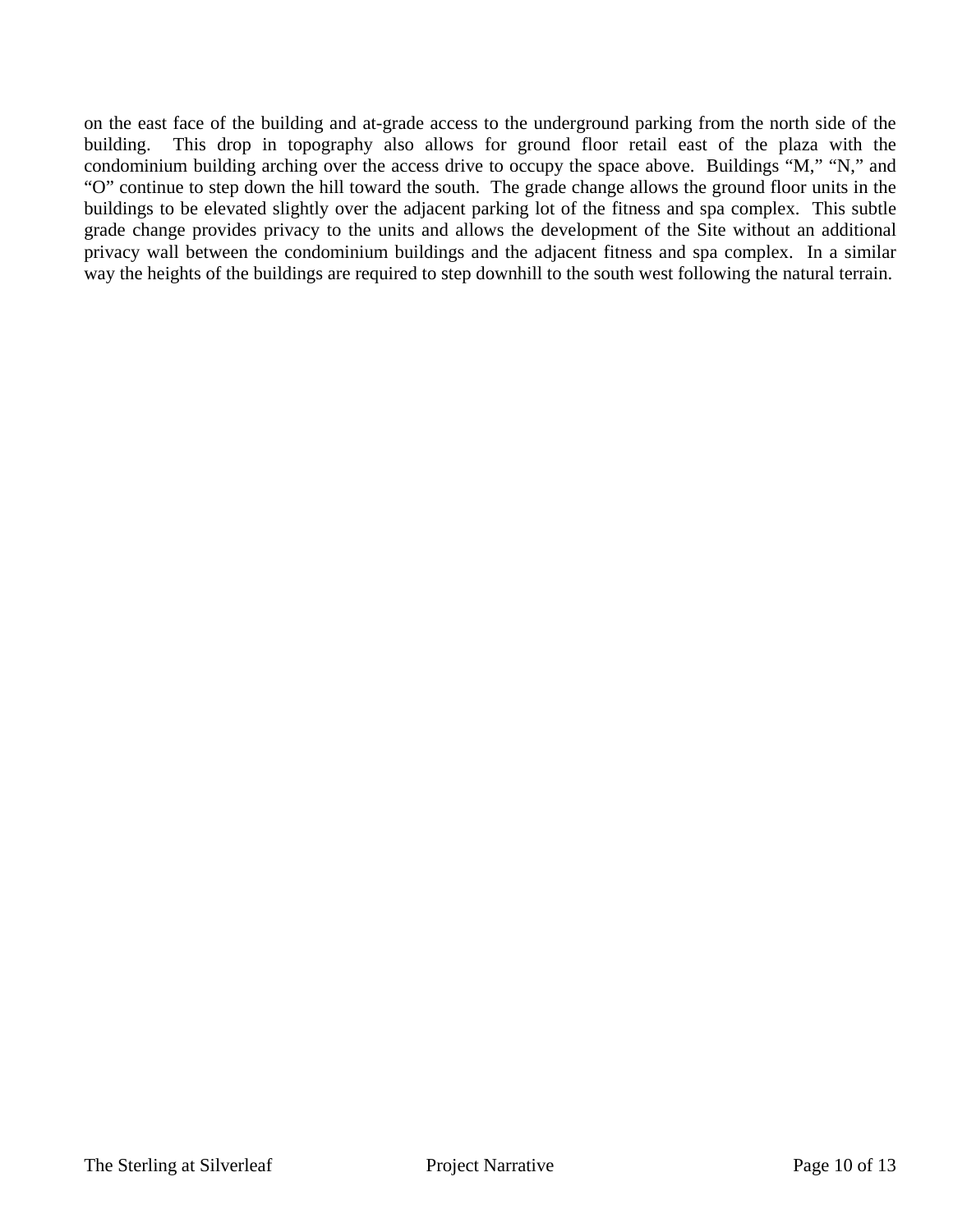on the east face of the building and at-grade access to the underground parking from the north side of the building. This drop in topography also allows for ground floor retail east of the plaza with the condominium building arching over the access drive to occupy the space above. Buildings "M," "N," and "O" continue to step down the hill toward the south. The grade change allows the ground floor units in the buildings to be elevated slightly over the adjacent parking lot of the fitness and spa complex. This subtle grade change provides privacy to the units and allows the development of the Site without an additional privacy wall between the condominium buildings and the adjacent fitness and spa complex. In a similar way the heights of the buildings are required to step downhill to the south west following the natural terrain.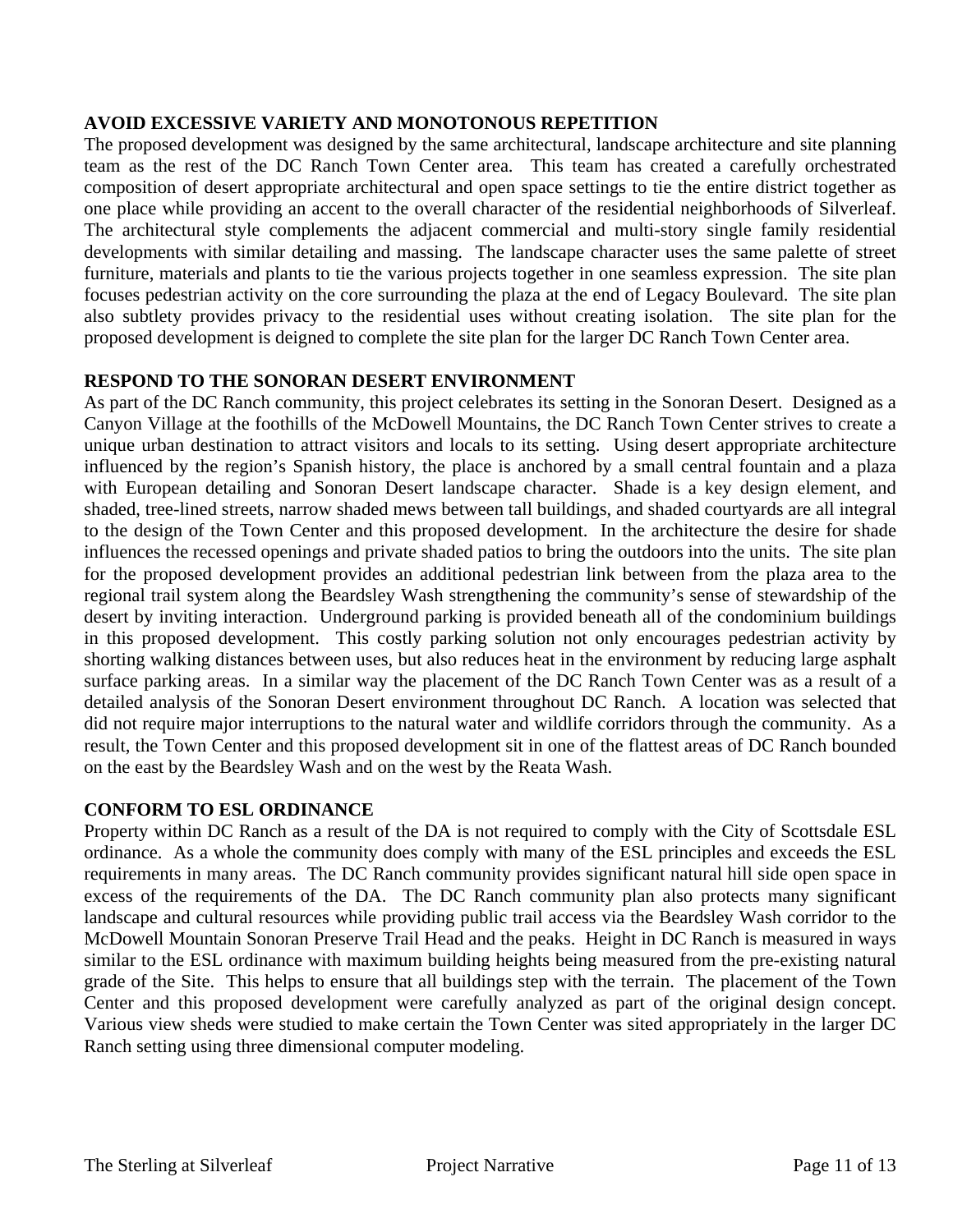## **AVOID EXCESSIVE VARIETY AND MONOTONOUS REPETITION**

The proposed development was designed by the same architectural, landscape architecture and site planning team as the rest of the DC Ranch Town Center area. This team has created a carefully orchestrated composition of desert appropriate architectural and open space settings to tie the entire district together as one place while providing an accent to the overall character of the residential neighborhoods of Silverleaf. The architectural style complements the adjacent commercial and multi-story single family residential developments with similar detailing and massing. The landscape character uses the same palette of street furniture, materials and plants to tie the various projects together in one seamless expression. The site plan focuses pedestrian activity on the core surrounding the plaza at the end of Legacy Boulevard. The site plan also subtlety provides privacy to the residential uses without creating isolation. The site plan for the proposed development is deigned to complete the site plan for the larger DC Ranch Town Center area.

## **RESPOND TO THE SONORAN DESERT ENVIRONMENT**

As part of the DC Ranch community, this project celebrates its setting in the Sonoran Desert. Designed as a Canyon Village at the foothills of the McDowell Mountains, the DC Ranch Town Center strives to create a unique urban destination to attract visitors and locals to its setting. Using desert appropriate architecture influenced by the region's Spanish history, the place is anchored by a small central fountain and a plaza with European detailing and Sonoran Desert landscape character. Shade is a key design element, and shaded, tree-lined streets, narrow shaded mews between tall buildings, and shaded courtyards are all integral to the design of the Town Center and this proposed development. In the architecture the desire for shade influences the recessed openings and private shaded patios to bring the outdoors into the units. The site plan for the proposed development provides an additional pedestrian link between from the plaza area to the regional trail system along the Beardsley Wash strengthening the community's sense of stewardship of the desert by inviting interaction. Underground parking is provided beneath all of the condominium buildings in this proposed development. This costly parking solution not only encourages pedestrian activity by shorting walking distances between uses, but also reduces heat in the environment by reducing large asphalt surface parking areas. In a similar way the placement of the DC Ranch Town Center was as a result of a detailed analysis of the Sonoran Desert environment throughout DC Ranch. A location was selected that did not require major interruptions to the natural water and wildlife corridors through the community. As a result, the Town Center and this proposed development sit in one of the flattest areas of DC Ranch bounded on the east by the Beardsley Wash and on the west by the Reata Wash.

#### **CONFORM TO ESL ORDINANCE**

Property within DC Ranch as a result of the DA is not required to comply with the City of Scottsdale ESL ordinance. As a whole the community does comply with many of the ESL principles and exceeds the ESL requirements in many areas. The DC Ranch community provides significant natural hill side open space in excess of the requirements of the DA. The DC Ranch community plan also protects many significant landscape and cultural resources while providing public trail access via the Beardsley Wash corridor to the McDowell Mountain Sonoran Preserve Trail Head and the peaks. Height in DC Ranch is measured in ways similar to the ESL ordinance with maximum building heights being measured from the pre-existing natural grade of the Site. This helps to ensure that all buildings step with the terrain. The placement of the Town Center and this proposed development were carefully analyzed as part of the original design concept. Various view sheds were studied to make certain the Town Center was sited appropriately in the larger DC Ranch setting using three dimensional computer modeling.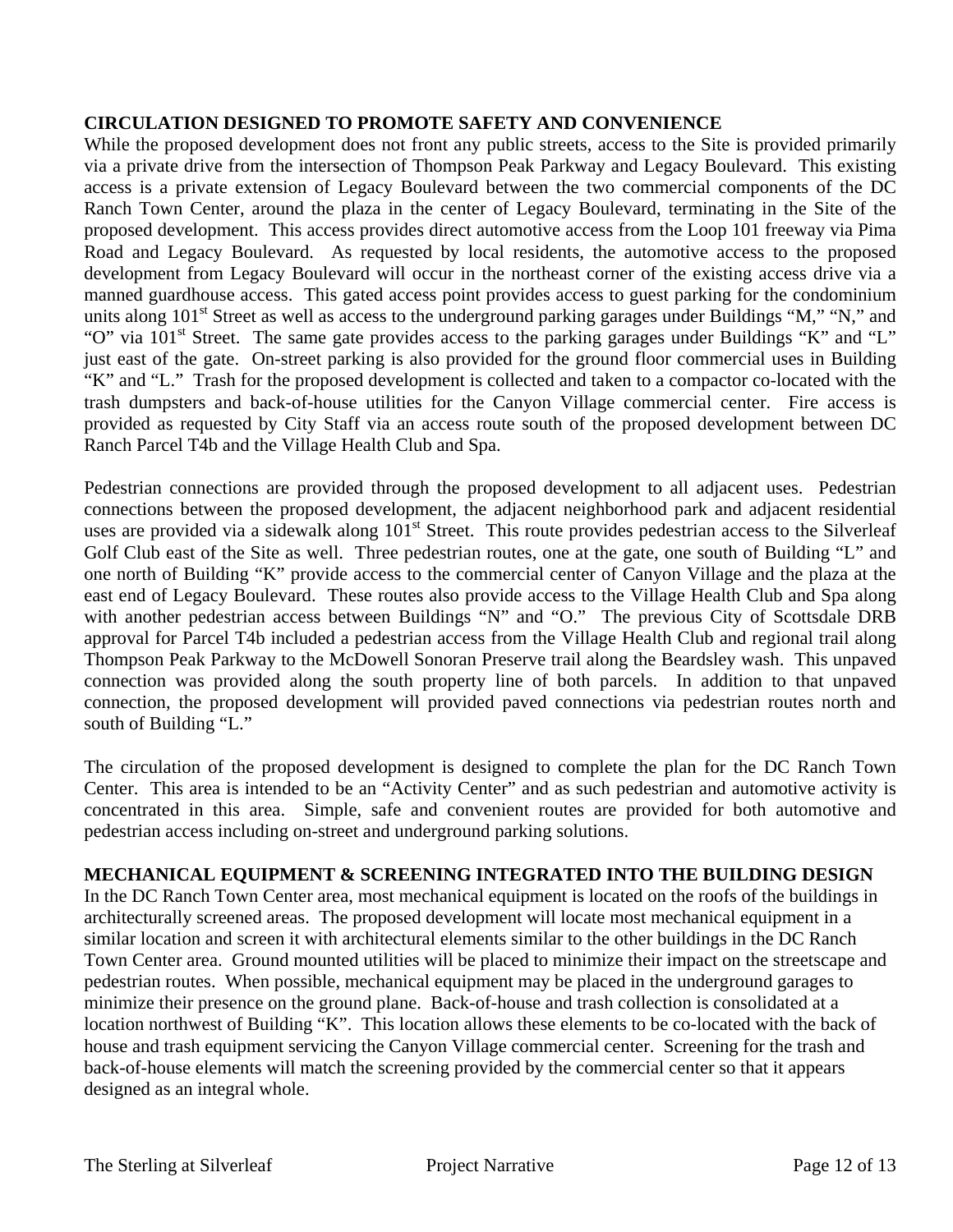## **CIRCULATION DESIGNED TO PROMOTE SAFETY AND CONVENIENCE**

While the proposed development does not front any public streets, access to the Site is provided primarily via a private drive from the intersection of Thompson Peak Parkway and Legacy Boulevard. This existing access is a private extension of Legacy Boulevard between the two commercial components of the DC Ranch Town Center, around the plaza in the center of Legacy Boulevard, terminating in the Site of the proposed development. This access provides direct automotive access from the Loop 101 freeway via Pima Road and Legacy Boulevard. As requested by local residents, the automotive access to the proposed development from Legacy Boulevard will occur in the northeast corner of the existing access drive via a manned guardhouse access. This gated access point provides access to guest parking for the condominium units along  $101<sup>st</sup>$  Street as well as access to the underground parking garages under Buildings "M," "N," and "O" via  $101<sup>st</sup>$  Street. The same gate provides access to the parking garages under Buildings "K" and "L" just east of the gate. On-street parking is also provided for the ground floor commercial uses in Building "K" and "L." Trash for the proposed development is collected and taken to a compactor co-located with the trash dumpsters and back-of-house utilities for the Canyon Village commercial center. Fire access is provided as requested by City Staff via an access route south of the proposed development between DC Ranch Parcel T4b and the Village Health Club and Spa.

Pedestrian connections are provided through the proposed development to all adjacent uses. Pedestrian connections between the proposed development, the adjacent neighborhood park and adjacent residential uses are provided via a sidewalk along 101<sup>st</sup> Street. This route provides pedestrian access to the Silverleaf Golf Club east of the Site as well. Three pedestrian routes, one at the gate, one south of Building "L" and one north of Building "K" provide access to the commercial center of Canyon Village and the plaza at the east end of Legacy Boulevard. These routes also provide access to the Village Health Club and Spa along with another pedestrian access between Buildings "N" and "O." The previous City of Scottsdale DRB approval for Parcel T4b included a pedestrian access from the Village Health Club and regional trail along Thompson Peak Parkway to the McDowell Sonoran Preserve trail along the Beardsley wash. This unpaved connection was provided along the south property line of both parcels. In addition to that unpaved connection, the proposed development will provided paved connections via pedestrian routes north and south of Building "L."

The circulation of the proposed development is designed to complete the plan for the DC Ranch Town Center. This area is intended to be an "Activity Center" and as such pedestrian and automotive activity is concentrated in this area. Simple, safe and convenient routes are provided for both automotive and pedestrian access including on-street and underground parking solutions.

#### **MECHANICAL EQUIPMENT & SCREENING INTEGRATED INTO THE BUILDING DESIGN**

In the DC Ranch Town Center area, most mechanical equipment is located on the roofs of the buildings in architecturally screened areas. The proposed development will locate most mechanical equipment in a similar location and screen it with architectural elements similar to the other buildings in the DC Ranch Town Center area. Ground mounted utilities will be placed to minimize their impact on the streetscape and pedestrian routes. When possible, mechanical equipment may be placed in the underground garages to minimize their presence on the ground plane. Back-of-house and trash collection is consolidated at a location northwest of Building "K". This location allows these elements to be co-located with the back of house and trash equipment servicing the Canyon Village commercial center. Screening for the trash and back-of-house elements will match the screening provided by the commercial center so that it appears designed as an integral whole.